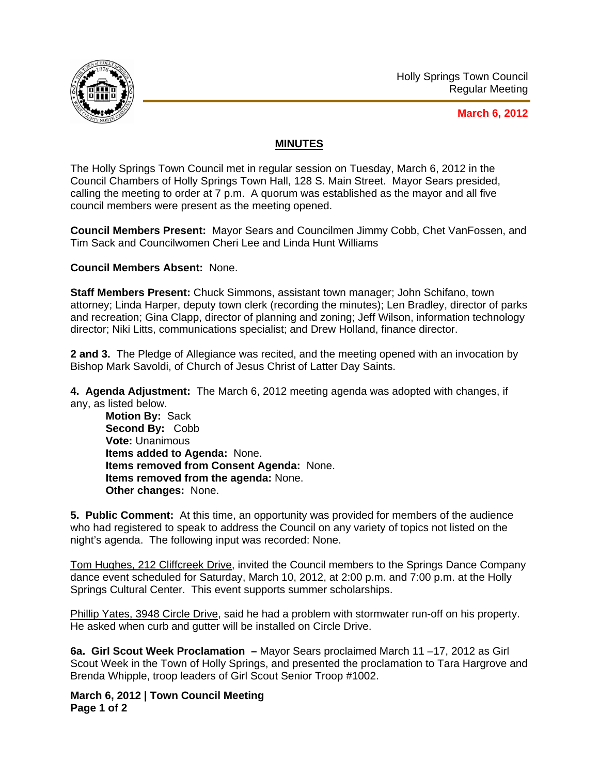

## **March 6, 2012**

## **MINUTES**

The Holly Springs Town Council met in regular session on Tuesday, March 6, 2012 in the Council Chambers of Holly Springs Town Hall, 128 S. Main Street. Mayor Sears presided, calling the meeting to order at 7 p.m. A quorum was established as the mayor and all five council members were present as the meeting opened.

**Council Members Present:** Mayor Sears and Councilmen Jimmy Cobb, Chet VanFossen, and Tim Sack and Councilwomen Cheri Lee and Linda Hunt Williams

**Council Members Absent:** None.

**Staff Members Present:** Chuck Simmons, assistant town manager; John Schifano, town attorney; Linda Harper, deputy town clerk (recording the minutes); Len Bradley, director of parks and recreation; Gina Clapp, director of planning and zoning; Jeff Wilson, information technology director; Niki Litts, communications specialist; and Drew Holland, finance director.

**2 and 3.** The Pledge of Allegiance was recited, and the meeting opened with an invocation by Bishop Mark Savoldi, of Church of Jesus Christ of Latter Day Saints.

**4. Agenda Adjustment:** The March 6, 2012 meeting agenda was adopted with changes, if any, as listed below.

**Motion By:** Sack **Second By:** Cobb **Vote:** Unanimous **Items added to Agenda:** None. **Items removed from Consent Agenda:** None. **Items removed from the agenda:** None. **Other changes:** None.

**5. Public Comment:** At this time, an opportunity was provided for members of the audience who had registered to speak to address the Council on any variety of topics not listed on the night's agenda. The following input was recorded: None.

Tom Hughes, 212 Cliffcreek Drive, invited the Council members to the Springs Dance Company dance event scheduled for Saturday, March 10, 2012, at 2:00 p.m. and 7:00 p.m. at the Holly Springs Cultural Center. This event supports summer scholarships.

Phillip Yates, 3948 Circle Drive, said he had a problem with stormwater run-off on his property. He asked when curb and gutter will be installed on Circle Drive.

**6a. Girl Scout Week Proclamation –** Mayor Sears proclaimed March 11 –17, 2012 as Girl Scout Week in the Town of Holly Springs, and presented the proclamation to Tara Hargrove and Brenda Whipple, troop leaders of Girl Scout Senior Troop #1002.

**March 6, 2012 | Town Council Meeting Page 1 of 2**